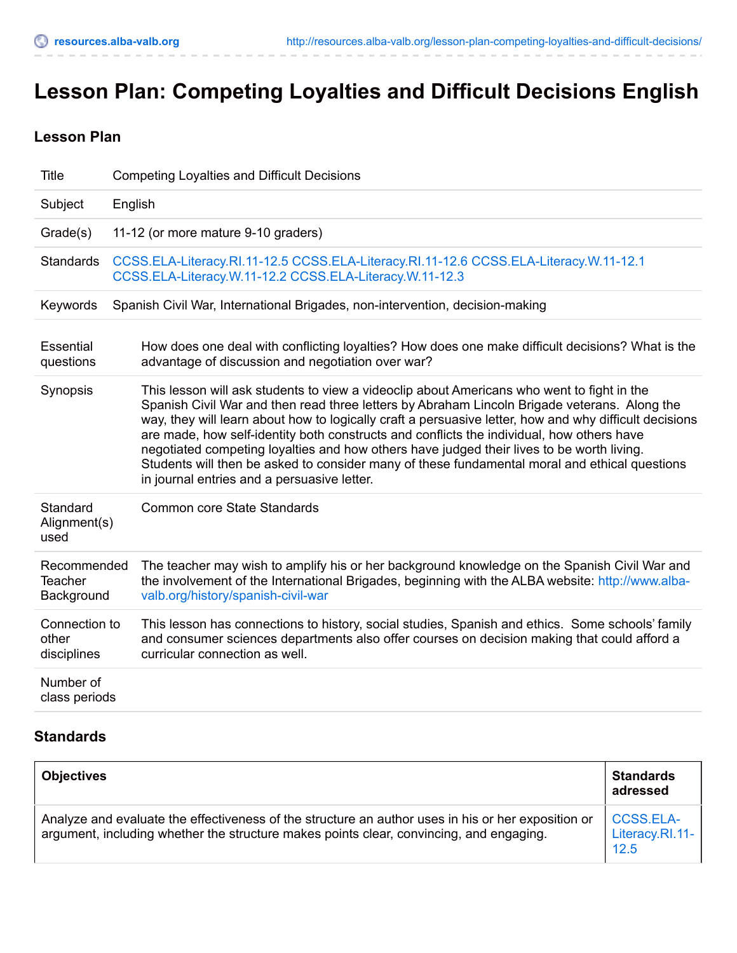# **Lesson Plan: Competing Loyalties and Difficult Decisions English**

# **Lesson Plan**

| <b>Title</b>                                | <b>Competing Loyalties and Difficult Decisions</b>                                                                                                                                                                                                                                                                                                                                                                                                                                                                                                                                                                                             |
|---------------------------------------------|------------------------------------------------------------------------------------------------------------------------------------------------------------------------------------------------------------------------------------------------------------------------------------------------------------------------------------------------------------------------------------------------------------------------------------------------------------------------------------------------------------------------------------------------------------------------------------------------------------------------------------------------|
| Subject                                     | English                                                                                                                                                                                                                                                                                                                                                                                                                                                                                                                                                                                                                                        |
| Grade(s)                                    | 11-12 (or more mature 9-10 graders)                                                                                                                                                                                                                                                                                                                                                                                                                                                                                                                                                                                                            |
| <b>Standards</b>                            | CCSS.ELA-Literacy.RI.11-12.5 CCSS.ELA-Literacy.RI.11-12.6 CCSS.ELA-Literacy.W.11-12.1<br>CCSS.ELA-Literacy.W.11-12.2 CCSS.ELA-Literacy.W.11-12.3                                                                                                                                                                                                                                                                                                                                                                                                                                                                                               |
| Keywords                                    | Spanish Civil War, International Brigades, non-intervention, decision-making                                                                                                                                                                                                                                                                                                                                                                                                                                                                                                                                                                   |
| Essential<br>questions                      | How does one deal with conflicting loyalties? How does one make difficult decisions? What is the<br>advantage of discussion and negotiation over war?                                                                                                                                                                                                                                                                                                                                                                                                                                                                                          |
| Synopsis                                    | This lesson will ask students to view a videoclip about Americans who went to fight in the<br>Spanish Civil War and then read three letters by Abraham Lincoln Brigade veterans. Along the<br>way, they will learn about how to logically craft a persuasive letter, how and why difficult decisions<br>are made, how self-identity both constructs and conflicts the individual, how others have<br>negotiated competing loyalties and how others have judged their lives to be worth living.<br>Students will then be asked to consider many of these fundamental moral and ethical questions<br>in journal entries and a persuasive letter. |
| Standard<br>Alignment(s)<br>used            | <b>Common core State Standards</b>                                                                                                                                                                                                                                                                                                                                                                                                                                                                                                                                                                                                             |
| Recommended<br><b>Teacher</b><br>Background | The teacher may wish to amplify his or her background knowledge on the Spanish Civil War and<br>the involvement of the International Brigades, beginning with the ALBA website: http://www.alba-<br>valb.org/history/spanish-civil-war                                                                                                                                                                                                                                                                                                                                                                                                         |
| Connection to<br>other<br>disciplines       | This lesson has connections to history, social studies, Spanish and ethics. Some schools' family<br>and consumer sciences departments also offer courses on decision making that could afford a<br>curricular connection as well.                                                                                                                                                                                                                                                                                                                                                                                                              |
| Number of<br>class periods                  |                                                                                                                                                                                                                                                                                                                                                                                                                                                                                                                                                                                                                                                |

# **Standards**

| <b>Objectives</b>                                                                                                                                                                             | <b>Standards</b><br>adressed                |
|-----------------------------------------------------------------------------------------------------------------------------------------------------------------------------------------------|---------------------------------------------|
| Analyze and evaluate the effectiveness of the structure an author uses in his or her exposition or<br>argument, including whether the structure makes points clear, convincing, and engaging. | <b>CCSS.ELA-</b><br>Literacy.RI.11-<br>12.5 |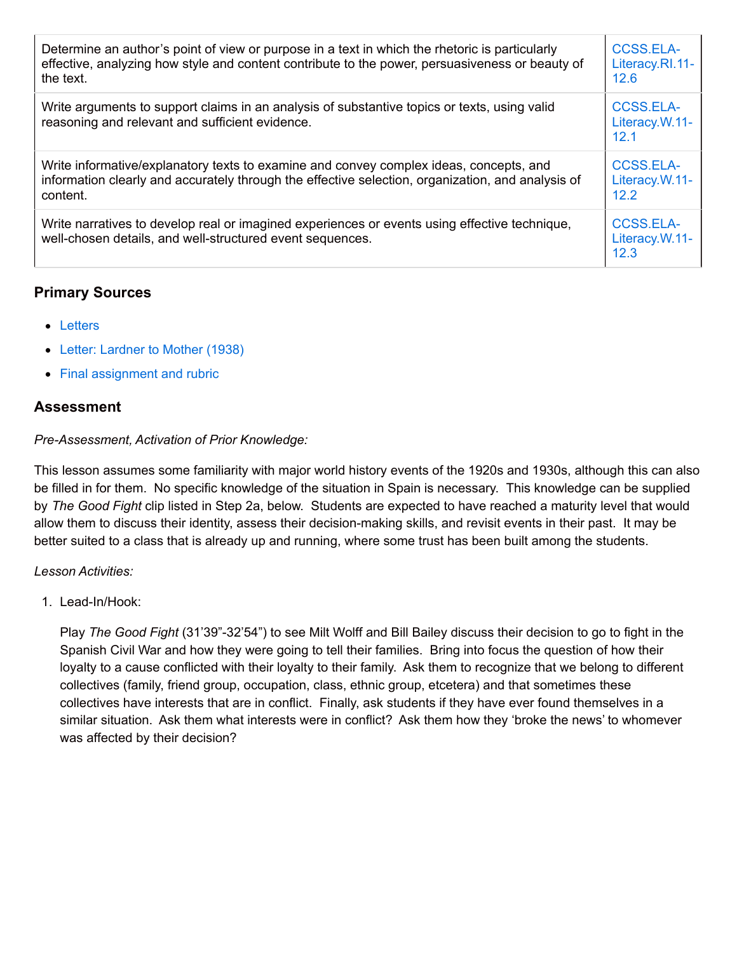| Determine an author's point of view or purpose in a text in which the rhetoric is particularly<br>effective, analyzing how style and content contribute to the power, persuasiveness or beauty of<br>the text. | <b>CCSS.ELA-</b><br>Literacy.RI.11-<br>12.6 |
|----------------------------------------------------------------------------------------------------------------------------------------------------------------------------------------------------------------|---------------------------------------------|
| Write arguments to support claims in an analysis of substantive topics or texts, using valid<br>reasoning and relevant and sufficient evidence.                                                                | <b>CCSS.ELA-</b><br>Literacy.W.11-<br>12.1  |
| Write informative/explanatory texts to examine and convey complex ideas, concepts, and<br>information clearly and accurately through the effective selection, organization, and analysis of<br>content.        | CCSS.ELA-<br>Literacy.W.11-<br>12.2         |
| Write narratives to develop real or imagined experiences or events using effective technique,<br>well-chosen details, and well-structured event sequences.                                                     | <b>CCSS.ELA-</b><br>Literacy.W.11-<br>12.3  |

# **Primary Sources**

- [Letters](http://resources.alba-valb.org/wp-content/uploads/2013/08/Letters.doc)
- Letter: [Lardner](http://resources.alba-valb.org/wp-content/uploads/2013/08/Letter-Lardner-to-Mother-1938.pdf) to Mother (1938)
- Final [assignment](http://resources.alba-valb.org/wp-content/uploads/2013/08/Final-assignment-and-rubric.doc) and rubric

## **Assessment**

### *Pre-Assessment, Activation of Prior Knowledge:*

This lesson assumes some familiarity with major world history events of the 1920s and 1930s, although this can also be filled in for them. No specific knowledge of the situation in Spain is necessary. This knowledge can be supplied by *The Good Fight* clip listed in Step 2a, below. Students are expected to have reached a maturity level that would allow them to discuss their identity, assess their decision-making skills, and revisit events in their past. It may be better suited to a class that is already up and running, where some trust has been built among the students.

### *Lesson Activities:*

1. Lead-In/Hook:

Play *The Good Fight* (31'39"-32'54") to see Milt Wolff and Bill Bailey discuss their decision to go to fight in the Spanish Civil War and how they were going to tell their families. Bring into focus the question of how their loyalty to a cause conflicted with their loyalty to their family. Ask them to recognize that we belong to different collectives (family, friend group, occupation, class, ethnic group, etcetera) and that sometimes these collectives have interests that are in conflict. Finally, ask students if they have ever found themselves in a similar situation. Ask them what interests were in conflict? Ask them how they 'broke the news' to whomever was affected by their decision?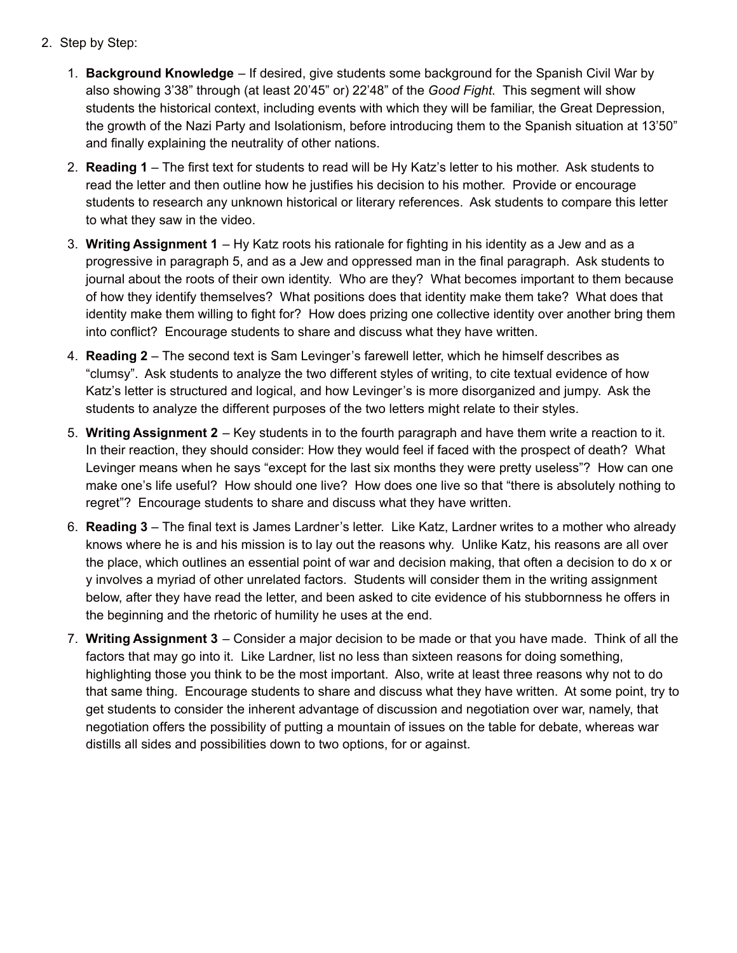- 2. Step by Step:
	- 1. **Background Knowledge** If desired, give students some background for the Spanish Civil War by also showing 3'38" through (at least 20'45" or) 22'48" of the *Good Fight*. This segment will show students the historical context, including events with which they will be familiar, the Great Depression, the growth of the Nazi Party and Isolationism, before introducing them to the Spanish situation at 13'50" and finally explaining the neutrality of other nations.
	- 2. **Reading 1** The first text for students to read will be Hy Katz's letter to his mother. Ask students to read the letter and then outline how he justifies his decision to his mother. Provide or encourage students to research any unknown historical or literary references. Ask students to compare this letter to what they saw in the video.
	- 3. **Writing Assignment 1** Hy Katz roots his rationale for fighting in his identity as a Jew and as a progressive in paragraph 5, and as a Jew and oppressed man in the final paragraph. Ask students to journal about the roots of their own identity. Who are they? What becomes important to them because of how they identify themselves? What positions does that identity make them take? What does that identity make them willing to fight for? How does prizing one collective identity over another bring them into conflict? Encourage students to share and discuss what they have written.
	- 4. **Reading 2** The second text is Sam Levinger's farewell letter, which he himself describes as "clumsy". Ask students to analyze the two different styles of writing, to cite textual evidence of how Katz's letter is structured and logical, and how Levinger's is more disorganized and jumpy. Ask the students to analyze the different purposes of the two letters might relate to their styles.
	- 5. **Writing Assignment 2** Key students in to the fourth paragraph and have them write a reaction to it. In their reaction, they should consider: How they would feel if faced with the prospect of death? What Levinger means when he says "except for the last six months they were pretty useless"? How can one make one's life useful? How should one live? How does one live so that "there is absolutely nothing to regret"? Encourage students to share and discuss what they have written.
	- 6. **Reading 3** The final text is James Lardner's letter. Like Katz, Lardner writes to a mother who already knows where he is and his mission is to lay out the reasons why. Unlike Katz, his reasons are all over the place, which outlines an essential point of war and decision making, that often a decision to do x or y involves a myriad of other unrelated factors. Students will consider them in the writing assignment below, after they have read the letter, and been asked to cite evidence of his stubbornness he offers in the beginning and the rhetoric of humility he uses at the end.
	- 7. **Writing Assignment 3** Consider a major decision to be made or that you have made. Think of all the factors that may go into it. Like Lardner, list no less than sixteen reasons for doing something, highlighting those you think to be the most important. Also, write at least three reasons why not to do that same thing. Encourage students to share and discuss what they have written. At some point, try to get students to consider the inherent advantage of discussion and negotiation over war, namely, that negotiation offers the possibility of putting a mountain of issues on the table for debate, whereas war distills all sides and possibilities down to two options, for or against.